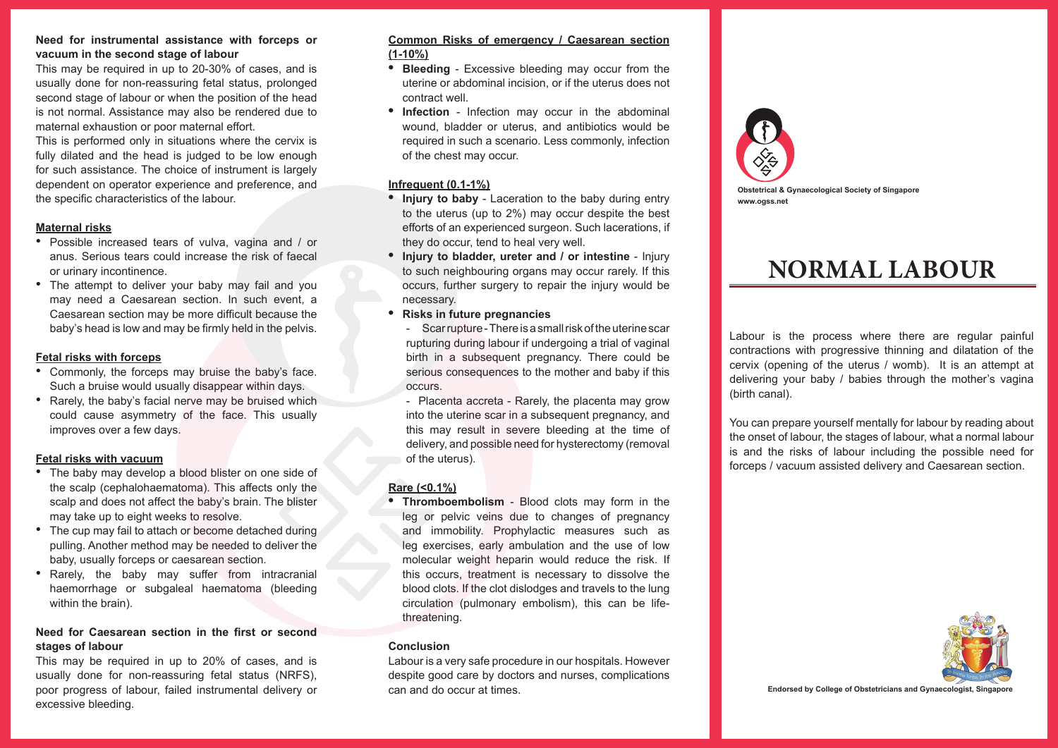#### **Need for instrumental assistance with forceps or vacuum in the second stage of labour**

This may be required in up to 20-30% of cases, and is usually done for non-reassuring fetal status, prolonged second stage of labour or when the position of the head is not normal. Assistance may also be rendered due to maternal exhaustion or poor maternal effort.

This is performed only in situations where the cervix is fully dilated and the head is judged to be low enough for such assistance. The choice of instrument is largely dependent on operator experience and preference, and the specific characteristics of the labour.

## **Maternal risks**

- Possible increased tears of vulva, vagina and / or anus. Serious tears could increase the risk of faecal or urinary incontinence.
- The attempt to deliver your baby may fail and you may need a Caesarean section. In such event, a Caesarean section may be more difficult because the baby's head is low and may be firmly held in the pelvis.

## **Fetal risks with forceps**

- Commonly, the forceps may bruise the baby's face. Such a bruise would usually disappear within days.
- Rarely, the baby's facial nerve may be bruised which could cause asymmetry of the face. This usually improves over a few days.

## **Fetal risks with vacuum**

- The baby may develop a blood blister on one side of the scalp (cephalohaematoma). This affects only the scalp and does not affect the baby's brain. The blister may take up to eight weeks to resolve.
- The cup may fail to attach or become detached during pulling. Another method may be needed to deliver the baby, usually forceps or caesarean section.
- Rarely, the baby may suffer from intracranial haemorrhage or subgaleal haematoma (bleeding within the brain).

# **Need for Caesarean section in the first or second stages of labour**

This may be required in up to 20% of cases, and is usually done for non-reassuring fetal status (NRFS), poor progress of labour, failed instrumental delivery or excessive bleeding.

## **Common Risks of emergency / Caesarean section (1-10%)**

- **• Bleeding**  Excessive bleeding may occur from the uterine or abdominal incision, or if the uterus does not contract well.
- **• Infection**  Infection may occur in the abdominal wound, bladder or uterus, and antibiotics would be required in such a scenario. Less commonly, infection of the chest may occur.

## **Infrequent (0.1-1%)**

- **• Injury to baby**  Laceration to the baby during entry to the uterus (up to 2%) may occur despite the best efforts of an experienced surgeon. Such lacerations, if they do occur, tend to heal very well.
- **• Injury to bladder, ureter and / or intestine**  Injury to such neighbouring organs may occur rarely. If this occurs, further surgery to repair the injury would be necessary.
- **• Risks in future pregnancies**

- Scar rupture - There is a small risk of the uterine scar rupturing during labour if undergoing a trial of vaginal birth in a subsequent pregnancy. There could be serious consequences to the mother and baby if this occurs.

- Placenta accreta - Rarely, the placenta may grow into the uterine scar in a subsequent pregnancy, and this may result in severe bleeding at the time of delivery, and possible need for hysterectomy (removal of the uterus).

# **Rare (<0.1%)**

**• Thromboembolism** - Blood clots may form in the leg or pelvic veins due to changes of pregnancy and immobility. Prophylactic measures such as leg exercises, early ambulation and the use of low molecular weight heparin would reduce the risk. If this occurs, treatment is necessary to dissolve the blood clots. If the clot dislodges and travels to the lung circulation (pulmonary embolism), this can be lifethreatening.

## **Conclusion**

Labour is a very safe procedure in our hospitals. However despite good care by doctors and nurses, complications can and do occur at times.



**Obstetrical & Gynaecological Society of Singapore www.ogss.net**

# **NORMAL LABOUR**

Labour is the process where there are regular painful contractions with progressive thinning and dilatation of the cervix (opening of the uterus / womb). It is an attempt at delivering your baby / babies through the mother's vagina (birth canal).

You can prepare yourself mentally for labour by reading about the onset of labour, the stages of labour, what a normal labour is and the risks of labour including the possible need for forceps / vacuum assisted delivery and Caesarean section.



**Endorsed by College of Obstetricians and Gynaecologist, Singapore**